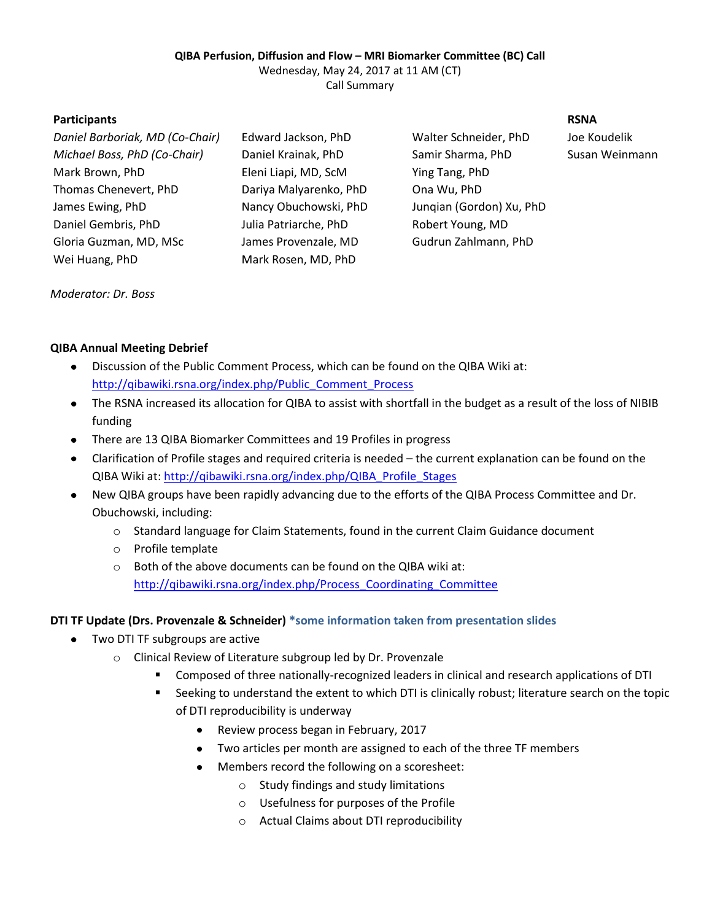# **QIBA Perfusion, Diffusion and Flow – MRI Biomarker Committee (BC) Call**

Wednesday, May 24, 2017 at 11 AM (CT)

Call Summary

### **Participants RSNA**

*Daniel Barboriak, MD (Co-Chair)* Edward Jackson, PhD Walter Schneider, PhD Joe Koudelik *Michael Boss, PhD (Co-Chair)* Daniel Krainak, PhD Samir Sharma, PhD Susan Weinmann Mark Brown, PhD Eleni Liapi, MD, ScM Ying Tang, PhD Thomas Chenevert, PhD Dariya Malyarenko, PhD Ona Wu, PhD James Ewing, PhD Nancy Obuchowski, PhD Junqian (Gordon) Xu, PhD Daniel Gembris, PhD Julia Patriarche, PhD Robert Young, MD Gloria Guzman, MD, MSc James Provenzale, MD Gudrun Zahlmann, PhD Wei Huang, PhD Mark Rosen, MD, PhD

*Moderator: Dr. Boss*

### **QIBA Annual Meeting Debrief**

- Discussion of the Public Comment Process, which can be found on the QIBA Wiki at:  $\bullet$ [http://qibawiki.rsna.org/index.php/Public\\_Comment\\_Process](http://qibawiki.rsna.org/index.php/Public_Comment_Process)
- The RSNA increased its allocation for QIBA to assist with shortfall in the budget as a result of the loss of NIBIB funding
- There are 13 QIBA Biomarker Committees and 19 Profiles in progress
- $\bullet$ Clarification of Profile stages and required criteria is needed – the current explanation can be found on the QIBA Wiki at: [http://qibawiki.rsna.org/index.php/QIBA\\_Profile\\_Stages](http://qibawiki.rsna.org/index.php/QIBA_Profile_Stages)
- New QIBA groups have been rapidly advancing due to the efforts of the QIBA Process Committee and Dr.  $\bullet$ Obuchowski, including:
	- o Standard language for Claim Statements, found in the current Claim Guidance document
	- o Profile template
	- o Both of the above documents can be found on the QIBA wiki at: [http://qibawiki.rsna.org/index.php/Process\\_Coordinating\\_Committee](http://qibawiki.rsna.org/index.php/Process_Coordinating_Committee)

# **DTI TF Update (Drs. Provenzale & Schneider) \*some information taken from presentation slides**

- Two DTI TF subgroups are active
	- o Clinical Review of Literature subgroup led by Dr. Provenzale
		- Composed of three nationally-recognized leaders in clinical and research applications of DTI
		- Seeking to understand the extent to which DTI is clinically robust; literature search on the topic of DTI reproducibility is underway
			- Review process began in February, 2017
			- Two articles per month are assigned to each of the three TF members
			- Members record the following on a scoresheet:
				- o Study findings and study limitations
				- o Usefulness for purposes of the Profile
				- o Actual Claims about DTI reproducibility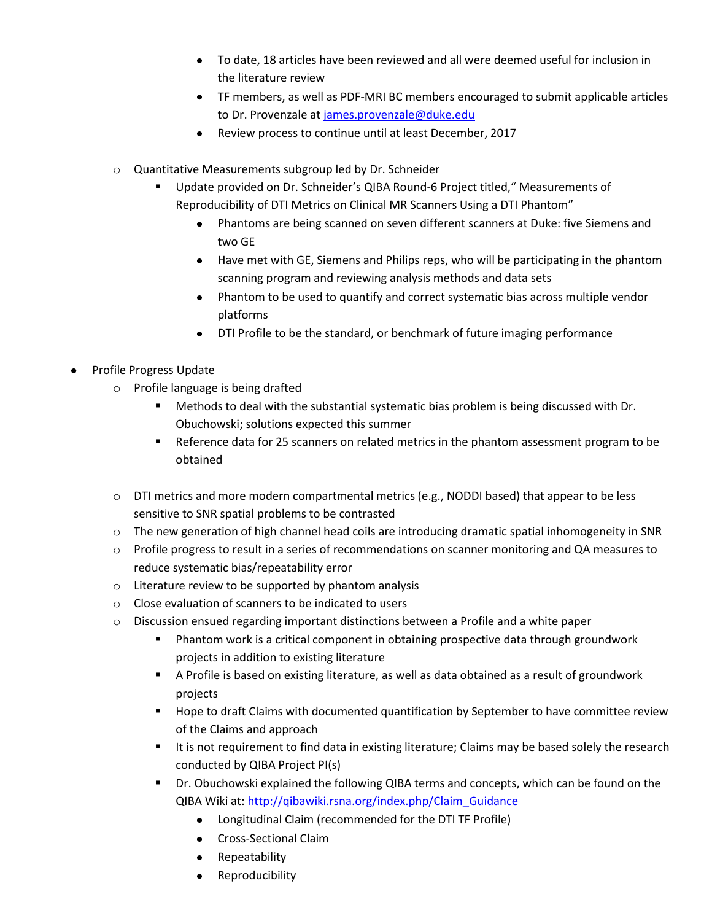- To date, 18 articles have been reviewed and all were deemed useful for inclusion in the literature review
- TF members, as well as PDF-MRI BC members encouraged to submit applicable articles to Dr. Provenzale at [james.provenzale@duke.edu](mailto:james.provenzale@duke.edu)
- Review process to continue until at least December, 2017
- o Quantitative Measurements subgroup led by Dr. Schneider
	- Update provided on Dr. Schneider's QIBA Round-6 Project titled," Measurements of Reproducibility of DTI Metrics on Clinical MR Scanners Using a DTI Phantom"
		- Phantoms are being scanned on seven different scanners at Duke: five Siemens and two GE
		- Have met with GE, Siemens and Philips reps, who will be participating in the phantom scanning program and reviewing analysis methods and data sets
		- Phantom to be used to quantify and correct systematic bias across multiple vendor platforms
		- DTI Profile to be the standard, or benchmark of future imaging performance
- Profile Progress Update
	- o Profile language is being drafted
		- Methods to deal with the substantial systematic bias problem is being discussed with Dr. Obuchowski; solutions expected this summer
		- Reference data for 25 scanners on related metrics in the phantom assessment program to be obtained
	- o DTI metrics and more modern compartmental metrics (e.g., NODDI based) that appear to be less sensitive to SNR spatial problems to be contrasted
	- o The new generation of high channel head coils are introducing dramatic spatial inhomogeneity in SNR
	- o Profile progress to result in a series of recommendations on scanner monitoring and QA measures to reduce systematic bias/repeatability error
	- o Literature review to be supported by phantom analysis
	- o Close evaluation of scanners to be indicated to users
	- $\circ$  Discussion ensued regarding important distinctions between a Profile and a white paper
		- **Phantom work is a critical component in obtaining prospective data through groundwork** projects in addition to existing literature
		- A Profile is based on existing literature, as well as data obtained as a result of groundwork projects
		- **Hope to draft Claims with documented quantification by September to have committee review** of the Claims and approach
		- It is not requirement to find data in existing literature; Claims may be based solely the research conducted by QIBA Project PI(s)
		- **Dr.** Obuchowski explained the following QIBA terms and concepts, which can be found on the QIBA Wiki at: [http://qibawiki.rsna.org/index.php/Claim\\_Guidance](http://qibawiki.rsna.org/index.php/Claim_Guidance)
			- Longitudinal Claim (recommended for the DTI TF Profile)
			- Cross-Sectional Claim
			- Repeatability
			- Reproducibility  $\bullet$